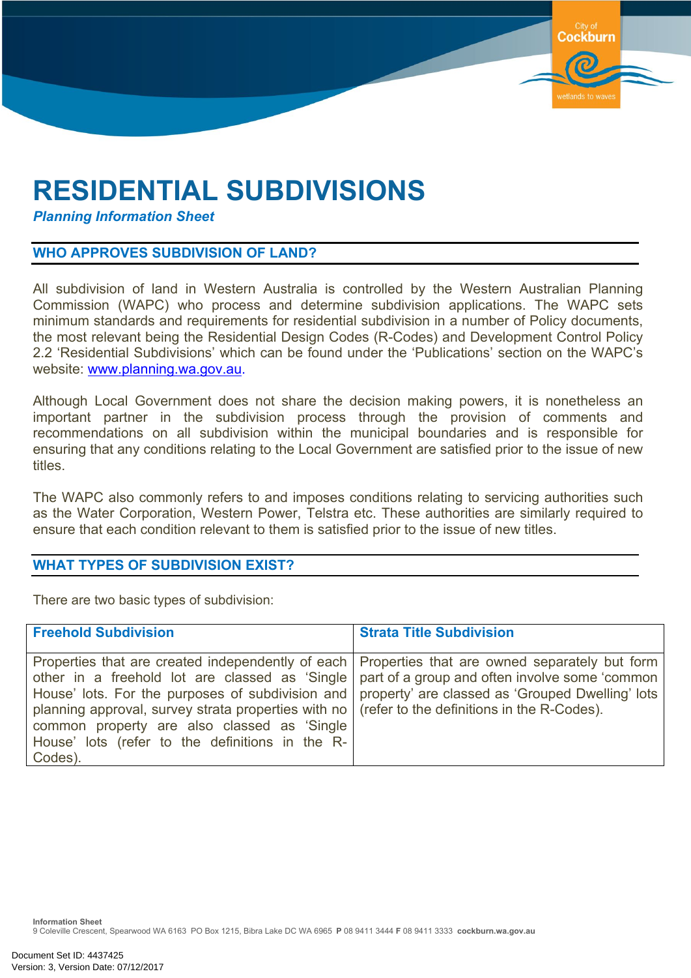# **RESIDENTIAL SUBDIVISIONS**

*Planning Information Sheet*

#### **WHO APPROVES SUBDIVISION OF LAND?**

All subdivision of land in Western Australia is controlled by the Western Australian Planning Commission (WAPC) who process and determine subdivision applications. The WAPC sets minimum standards and requirements for residential subdivision in a number of Policy documents, the most relevant being the Residential Design Codes (R-Codes) and Development Control Policy 2.2 'Residential Subdivisions' which can be found under the 'Publications' section on the WAPC's website: [www.planning.wa.gov.au](http://www.planning.wa.gov.au/).

Cockburn

Although Local Government does not share the decision making powers, it is nonetheless an important partner in the subdivision process through the provision of comments and recommendations on all subdivision within the municipal boundaries and is responsible for ensuring that any conditions relating to the Local Government are satisfied prior to the issue of new titles.

The WAPC also commonly refers to and imposes conditions relating to servicing authorities such as the Water Corporation, Western Power, Telstra etc. These authorities are similarly required to ensure that each condition relevant to them is satisfied prior to the issue of new titles.

#### **WHAT TYPES OF SUBDIVISION EXIST?**

There are two basic types of subdivision:

| <b>Freehold Subdivision</b>                                                                                                                                                                                                                                                                                                                                                                                                                                                                                                  | <b>Strata Title Subdivision</b> |
|------------------------------------------------------------------------------------------------------------------------------------------------------------------------------------------------------------------------------------------------------------------------------------------------------------------------------------------------------------------------------------------------------------------------------------------------------------------------------------------------------------------------------|---------------------------------|
| Properties that are created independently of each   Properties that are owned separately but form<br>other in a freehold lot are classed as 'Single   part of a group and often involve some 'common<br>House' lots. For the purposes of subdivision and   property' are classed as 'Grouped Dwelling' lots<br>planning approval, survey strata properties with no   (refer to the definitions in the R-Codes).<br>common property are also classed as 'Single<br>House' lots (refer to the definitions in the R-<br>Codes). |                                 |

**Information Sheet** 9 Coleville Crescent, Spearwood WA 6163 PO Box 1215, Bibra Lake DC WA 6965 **P** 08 9411 3444 **F** 08 9411 3333 **cockburn.wa.gov.au**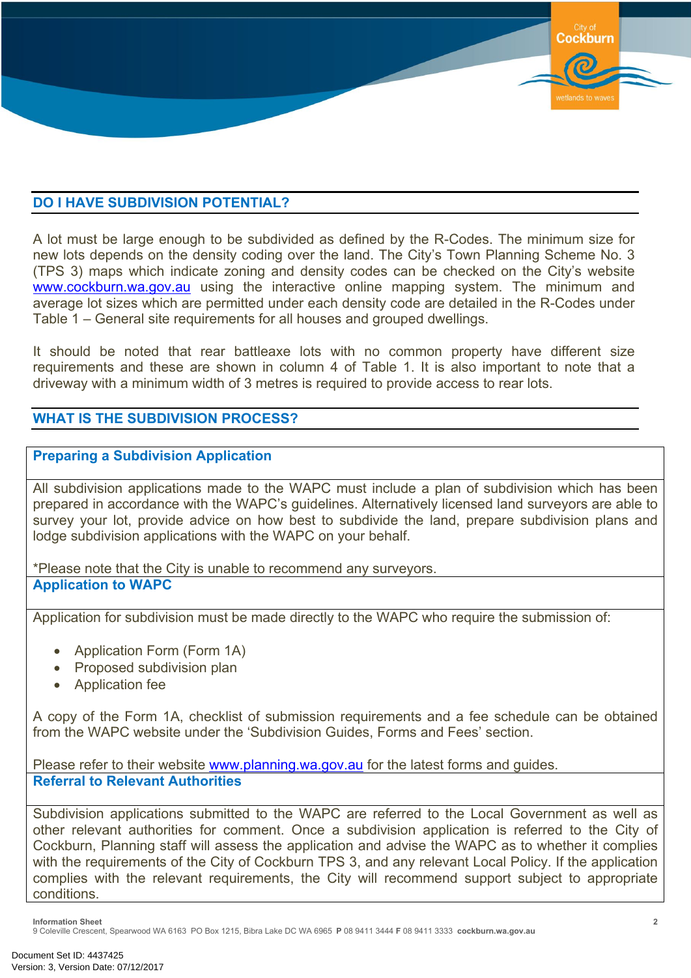# **DO I HAVE SUBDIVISION POTENTIAL?**

A lot must be large enough to be subdivided as defined by the R-Codes. The minimum size for new lots depends on the density coding over the land. The City's Town Planning Scheme No. 3 (TPS 3) maps which indicate zoning and density codes can be checked on the City's website [www.cockburn.wa.gov.au](http://www.cockburn.wa.gov.au/) using the interactive online mapping system. The minimum and average lot sizes which are permitted under each density code are detailed in the R-Codes under Table 1 – General site requirements for all houses and grouped dwellings.

It should be noted that rear battleaxe lots with no common property have different size requirements and these are shown in column 4 of Table 1. It is also important to note that a driveway with a minimum width of 3 metres is required to provide access to rear lots.

# **WHAT IS THE SUBDIVISION PROCESS?**

#### **Preparing a Subdivision Application**

All subdivision applications made to the WAPC must include a plan of subdivision which has been prepared in accordance with the WAPC's guidelines. Alternatively licensed land surveyors are able to survey your lot, provide advice on how best to subdivide the land, prepare subdivision plans and lodge subdivision applications with the WAPC on your behalf.

\*Please note that the City is unable to recommend any surveyors. **Application to WAPC**

Application for subdivision must be made directly to the WAPC who require the submission of:

- Application Form (Form 1A)
- Proposed subdivision plan
- Application fee

A copy of the Form 1A, checklist of submission requirements and a fee schedule can be obtained from the WAPC website under the 'Subdivision Guides, Forms and Fees' section.

Please refer to their website [www.planning.wa.gov.au](http://www.planning.wa.gov.au/) for the latest forms and guides. **Referral to Relevant Authorities**

Subdivision applications submitted to the WAPC are referred to the Local Government as well as other relevant authorities for comment. Once a subdivision application is referred to the City of Cockburn, Planning staff will assess the application and advise the WAPC as to whether it complies with the requirements of the City of Cockburn TPS 3, and any relevant Local Policy. If the application complies with the relevant requirements, the City will recommend support subject to appropriate conditions.

**Information Sheet**

9 Coleville Crescent, Spearwood WA 6163 PO Box 1215, Bibra Lake DC WA 6965 **P** 08 9411 3444 **F** 08 9411 3333 **cockburn.wa.gov.au**

**Cockburn**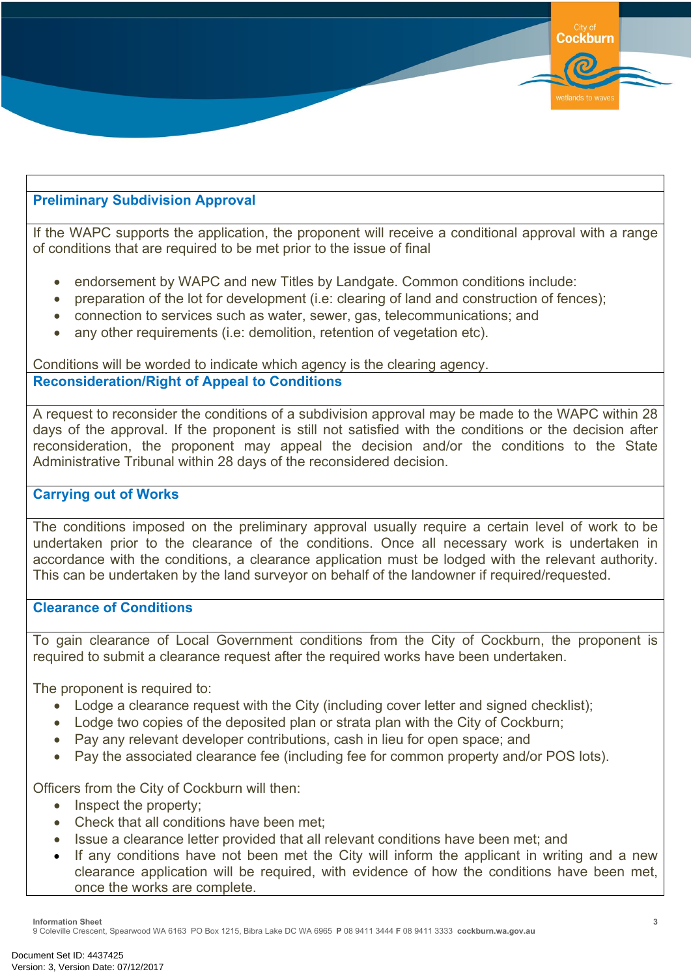

# **Preliminary Subdivision Approval**

If the WAPC supports the application, the proponent will receive a conditional approval with a range of conditions that are required to be met prior to the issue of final

- endorsement by WAPC and new Titles by Landgate. Common conditions include:
- preparation of the lot for development (i.e: clearing of land and construction of fences);
- connection to services such as water, sewer, gas, telecommunications; and
- any other requirements (i.e: demolition, retention of vegetation etc).

Conditions will be worded to indicate which agency is the clearing agency. **Reconsideration/Right of Appeal to Conditions**

A request to reconsider the conditions of a subdivision approval may be made to the WAPC within 28 days of the approval. If the proponent is still not satisfied with the conditions or the decision after reconsideration, the proponent may appeal the decision and/or the conditions to the State Administrative Tribunal within 28 days of the reconsidered decision.

#### **Carrying out of Works**

The conditions imposed on the preliminary approval usually require a certain level of work to be undertaken prior to the clearance of the conditions. Once all necessary work is undertaken in accordance with the conditions, a clearance application must be lodged with the relevant authority. This can be undertaken by the land surveyor on behalf of the landowner if required/requested.

# **Clearance of Conditions**

To gain clearance of Local Government conditions from the City of Cockburn, the proponent is required to submit a clearance request after the required works have been undertaken.

The proponent is required to:

- Lodge a clearance request with the City (including cover letter and signed checklist);
- Lodge two copies of the deposited plan or strata plan with the City of Cockburn;
- Pay any relevant developer contributions, cash in lieu for open space; and
- Pay the associated clearance fee (including fee for common property and/or POS lots).

Officers from the City of Cockburn will then:

- Inspect the property;
- Check that all conditions have been met;
- Issue a clearance letter provided that all relevant conditions have been met; and
- If any conditions have not been met the City will inform the applicant in writing and a new clearance application will be required, with evidence of how the conditions have been met, once the works are complete.

**Information Sheet**

9 Coleville Crescent, Spearwood WA 6163 PO Box 1215, Bibra Lake DC WA 6965 **P** 08 9411 3444 **F** 08 9411 3333 **cockburn.wa.gov.au**